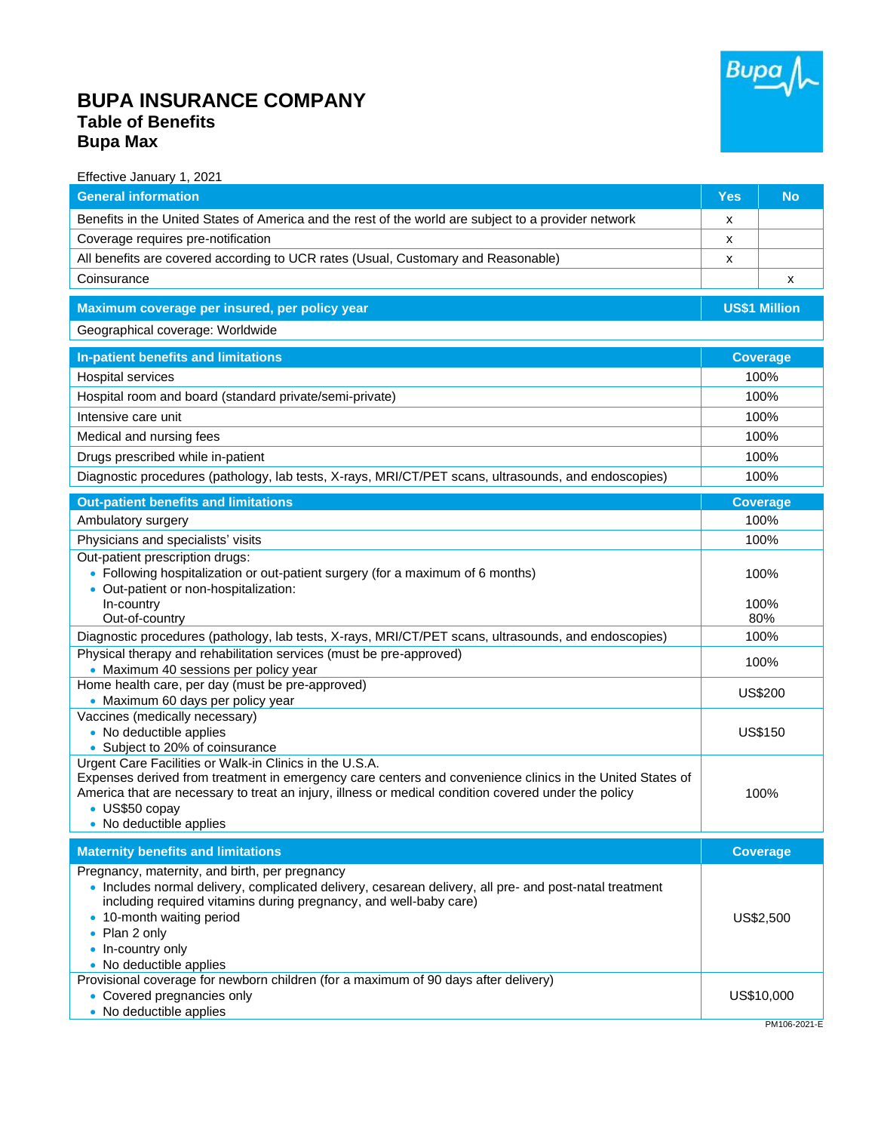

## **BUPA INSURANCE COMPANY Table of Benefits Bupa Max**

| Effective January 1, 2021                                                                                                                                |                      |                 |
|----------------------------------------------------------------------------------------------------------------------------------------------------------|----------------------|-----------------|
| <b>General information</b>                                                                                                                               | <b>Yes</b>           | <b>No</b>       |
| Benefits in the United States of America and the rest of the world are subject to a provider network                                                     | x                    |                 |
| Coverage requires pre-notification                                                                                                                       | x                    |                 |
| All benefits are covered according to UCR rates (Usual, Customary and Reasonable)                                                                        | x                    |                 |
| Coinsurance                                                                                                                                              |                      | x               |
| Maximum coverage per insured, per policy year                                                                                                            | <b>US\$1 Million</b> |                 |
| Geographical coverage: Worldwide                                                                                                                         |                      |                 |
| In-patient benefits and limitations                                                                                                                      | <b>Coverage</b>      |                 |
| Hospital services                                                                                                                                        | 100%                 |                 |
| Hospital room and board (standard private/semi-private)                                                                                                  | 100%                 |                 |
| Intensive care unit                                                                                                                                      | 100%                 |                 |
| Medical and nursing fees                                                                                                                                 | 100%                 |                 |
| Drugs prescribed while in-patient                                                                                                                        | 100%                 |                 |
| Diagnostic procedures (pathology, lab tests, X-rays, MRI/CT/PET scans, ultrasounds, and endoscopies)                                                     | 100%                 |                 |
| <b>Out-patient benefits and limitations</b>                                                                                                              |                      | <b>Coverage</b> |
| Ambulatory surgery                                                                                                                                       | 100%                 |                 |
| Physicians and specialists' visits                                                                                                                       | 100%                 |                 |
| Out-patient prescription drugs:                                                                                                                          |                      |                 |
| • Following hospitalization or out-patient surgery (for a maximum of 6 months)                                                                           |                      | 100%            |
| • Out-patient or non-hospitalization:<br>In-country                                                                                                      |                      |                 |
| Out-of-country                                                                                                                                           | 100%<br>80%          |                 |
| Diagnostic procedures (pathology, lab tests, X-rays, MRI/CT/PET scans, ultrasounds, and endoscopies)                                                     | 100%                 |                 |
| Physical therapy and rehabilitation services (must be pre-approved)                                                                                      | 100%                 |                 |
| • Maximum 40 sessions per policy year<br>Home health care, per day (must be pre-approved)                                                                |                      |                 |
| • Maximum 60 days per policy year                                                                                                                        | US\$200              |                 |
| Vaccines (medically necessary)                                                                                                                           |                      |                 |
| • No deductible applies                                                                                                                                  | <b>US\$150</b>       |                 |
| • Subject to 20% of coinsurance<br>Urgent Care Facilities or Walk-in Clinics in the U.S.A.                                                               |                      |                 |
| Expenses derived from treatment in emergency care centers and convenience clinics in the United States of                                                |                      |                 |
| America that are necessary to treat an injury, illness or medical condition covered under the policy                                                     |                      | 100%            |
| • US\$50 copay<br>• No deductible applies                                                                                                                |                      |                 |
|                                                                                                                                                          |                      |                 |
| <b>Maternity benefits and limitations</b>                                                                                                                |                      | <b>Coverage</b> |
| Pregnancy, maternity, and birth, per pregnancy<br>. Includes normal delivery, complicated delivery, cesarean delivery, all pre- and post-natal treatment |                      |                 |
| including required vitamins during pregnancy, and well-baby care)                                                                                        |                      |                 |
| • 10-month waiting period                                                                                                                                | US\$2,500            |                 |
| • Plan 2 only                                                                                                                                            |                      |                 |
| • In-country only<br>• No deductible applies                                                                                                             |                      |                 |
| Provisional coverage for newborn children (for a maximum of 90 days after delivery)                                                                      |                      |                 |
| • Covered pregnancies only                                                                                                                               |                      | US\$10,000      |
| • No deductible applies                                                                                                                                  |                      | PM106-2021-E    |